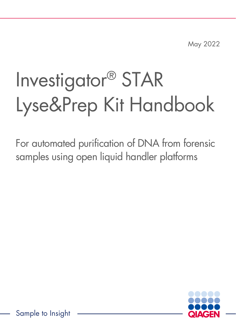May 2022

# Investigator® STAR Lyse&Prep Kit Handbook

For automated purification of DNA from forensic samples using open liquid handler platforms



Sample to Insight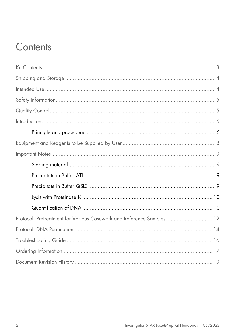### Contents

| Protocol: Pretreatment for Various Casework and Reference Samples 12 |  |
|----------------------------------------------------------------------|--|
|                                                                      |  |
|                                                                      |  |
|                                                                      |  |
|                                                                      |  |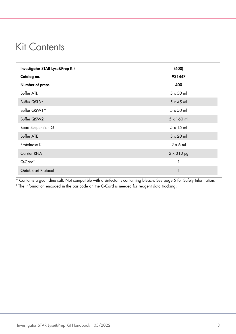### <span id="page-2-0"></span>Kit Contents

| Investigator STAR Lyse&Prep Kit | (400)             |  |
|---------------------------------|-------------------|--|
| Catalog no.                     | 931447            |  |
| Number of preps                 | 400               |  |
| <b>Buffer ATL</b>               | $5 \times 50$ ml  |  |
| Buffer QSL3*                    | $5 \times 45$ ml  |  |
| Buffer QSW1*                    | $5 \times 50$ ml  |  |
| Buffer QSW2                     | $5 \times 160$ ml |  |
| <b>Bead Suspension G</b>        | $5 \times 15$ ml  |  |
| <b>Buffer ATE</b>               | $5 \times 20$ ml  |  |
| Proteinase K                    | $2 \times 6$ m    |  |
| <b>Carrier RNA</b>              | $2 \times 310$ µg |  |
| Q-Card <sup>+</sup>             | 1                 |  |
| Quick-Start Protocol            | 1                 |  |

\* Contains a guanidine salt. Not compatible with disinfectants containing bleach. See page [5](#page-4-0) for Safety Information. † The information encoded in the bar code on the Q-Card is needed for reagent data tracking.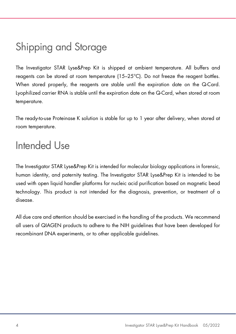# <span id="page-3-0"></span>Shipping and Storage

The Investigator STAR Lyse&Prep Kit is shipped at ambient temperature. All buffers and reagents can be stored at room temperature (15–25°C). Do not freeze the reagent bottles. When stored properly, the reagents are stable until the expiration date on the Q-Card. Lyophilized carrier RNA is stable until the expiration date on the Q-Card, when stored at room temperature.

The ready-to-use Proteinase K solution is stable for up to 1 year after delivery, when stored at room temperature.

### <span id="page-3-1"></span>Intended Use

The Investigator STAR Lyse&Prep Kit is intended for molecular biology applications in forensic, human identity, and paternity testing. The Investigator STAR Lyse&Prep Kit is intended to be used with open liquid handler platforms for nucleic acid purification based on magnetic bead technology. This product is not intended for the diagnosis, prevention, or treatment of a disease.

All due care and attention should be exercised in the handling of the products. We recommend all users of QIAGEN products to adhere to the NIH guidelines that have been developed for recombinant DNA experiments, or to other applicable guidelines.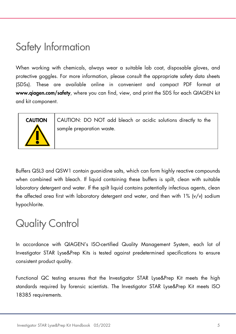### <span id="page-4-0"></span>Safety Information

When working with chemicals, always wear a suitable lab coat, disposable gloves, and protective goggles. For more information, please consult the appropriate safety data sheets (SDSs). These are available online in convenient and compact PDF format at www.qiagen.com/safety, where you can find, view, and print the SDS for each QIAGEN kit and kit component.



CAUTION CAUTION: DO NOT add bleach or acidic solutions directly to the sample preparation waste.

Buffers QSL3 and QSW1 contain guanidine salts, which can form highly reactive compounds when combined with bleach. If liquid containing these buffers is spilt, clean with suitable laboratory detergent and water. If the spilt liquid contains potentially infectious agents, clean the affected area first with laboratory detergent and water, and then with  $1\%$  (v/v) sodium hypochlorite.

### <span id="page-4-1"></span>Quality Control

In accordance with QIAGEN's ISO-certified Quality Management System, each lot of Investigator STAR Lyse&Prep Kits is tested against predetermined specifications to ensure consistent product quality.

Functional QC testing ensures that the Investigator STAR Lyse&Prep Kit meets the high standards required by forensic scientists. The Investigator STAR Lyse&Prep Kit meets ISO 18385 requirements.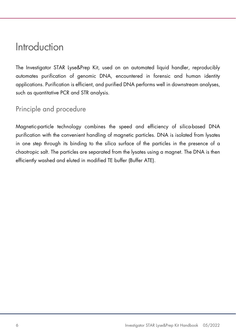### <span id="page-5-0"></span>Introduction

The Investigator STAR Lyse&Prep Kit, used on an automated liquid handler, reproducibly automates purification of genomic DNA, encountered in forensic and human identity applications. Purification is efficient, and purified DNA performs well in downstream analyses, such as quantitative PCR and STR analysis.

### <span id="page-5-1"></span>Principle and procedure

Magnetic-particle technology combines the speed and efficiency of silica-based DNA purification with the convenient handling of magnetic particles. DNA is isolated from lysates in one step through its binding to the silica surface of the particles in the presence of a chaotropic salt. The particles are separated from the lysates using a magnet. The DNA is then efficiently washed and eluted in modified TE buffer (Buffer ATE).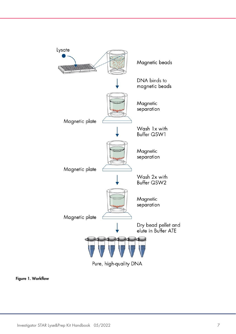

Figure 1. Workflow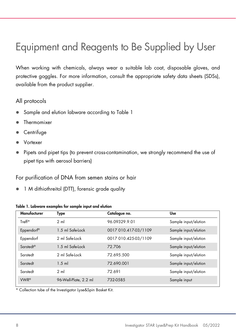# <span id="page-7-0"></span>Equipment and Reagents to Be Supplied by User

When working with chemicals, always wear a suitable lab coat, disposable gloves, and protective goggles. For more information, consult the appropriate safety data sheets (SDSs), available from the product supplier.

#### All protocols

- Sample and elution labware according to [Table 1](#page-7-1)
- Thermomixer
- **Centrifuge**
- Vortexer
- Pipets and pipet tips (to prevent cross-contamination, we strongly recommend the use of pipet tips with aerosol barriers)

#### For purification of DNA from semen stains or hair

• 1 M dithiothreitol (DTT), forensic arade quality

| Manufacturer           | Type                  | Catalogue no.        | Use                  |
|------------------------|-----------------------|----------------------|----------------------|
| Treff*                 | 2 <sub>m</sub>        | 96.09329.9.01        | Sample input/elution |
| Eppendorf <sup>®</sup> | 1.5 ml Safe-Lock      | 0017 010.417-03/1109 | Sample input/elution |
| Eppendorf              | 2 ml Safe-Lock        | 0017 010.425-03/1109 | Sample input/elution |
| Sarstedt <sup>®</sup>  | 1.5 ml Safe-Lock      | 72.706               | Sample input/elution |
| Sarstedt               | 2 ml Safe-Lock        | 72.695.500           | Sample input/elution |
| Sarstedt               | $1.5$ m               | 72.690.001           | Sample input/elution |
| Sarstedt               | 2 <sub>m</sub>        | 72.691               | Sample input/elution |
| <b>VWR<sup>®</sup></b> | 96-Well-Plate, 2.2 ml | 732-0585             | Sample input         |

#### <span id="page-7-1"></span>Table 1. Labware examples for sample input and elution

\* Collection tube of the Investigator Lyse&Spin Basket Kit.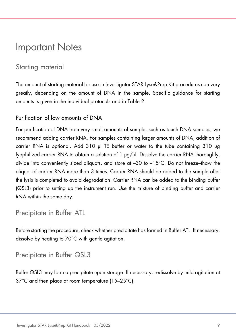### <span id="page-8-0"></span>Important Notes

### <span id="page-8-1"></span>Starting material

The amount of starting material for use in Investigator STAR Lyse&Prep Kit procedures can vary greatly, depending on the amount of DNA in the sample. Specific guidance for starting amounts is given in the individual protocols and in [Table 2.](#page-10-0)

#### Purification of low amounts of DNA

For purification of DNA from very small amounts of sample, such as touch DNA samples, we recommend adding carrier RNA. For samples containing larger amounts of DNA, addition of carrier RNA is optional. Add 310 µl TE buffer or water to the tube containing 310 µg lyophilized carrier RNA to obtain a solution of 1 µg/µl. Dissolve the carrier RNA thoroughly, divide into conveniently sized aliquots, and store at –30 to –15°C. Do not freeze–thaw the aliquot of carrier RNA more than 3 times. Carrier RNA should be added to the sample after the lysis is completed to avoid degradation. Carrier RNA can be added to the binding buffer (QSL3) prior to setting up the instrument run. Use the mixture of binding buffer and carrier RNA within the same day.

#### <span id="page-8-2"></span>Precipitate in Buffer ATL

Before starting the procedure, check whether precipitate has formed in Buffer ATL. If necessary, dissolve by heating to 70°C with gentle agitation.

### <span id="page-8-3"></span>Precipitate in Buffer QSL3

Buffer QSL3 may form a precipitate upon storage. If necessary, redissolve by mild agitation at 37°C and then place at room temperature (15–25°C).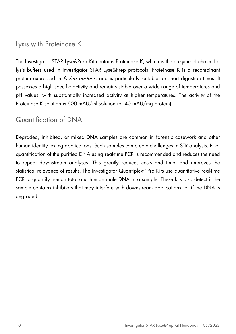### <span id="page-9-0"></span>Lysis with Proteinase K

The Investigator STAR Lyse&Prep Kit contains Proteinase K, which is the enzyme of choice for lysis buffers used in Investigator STAR Lyse&Prep protocols. Proteinase K is a recombinant protein expressed in *Pichia pastoris*, and is particularly suitable for short digestion times. It possesses a high specific activity and remains stable over a wide range of temperatures and pH values, with substantially increased activity at higher temperatures. The activity of the Proteinase K solution is 600 mAU/ml solution (or 40 mAU/mg protein).

### <span id="page-9-1"></span>Quantification of DNA

Degraded, inhibited, or mixed DNA samples are common in forensic casework and other human identity testing applications. Such samples can create challenges in STR analysis. Prior quantification of the purified DNA using real-time PCR is recommended and reduces the need to repeat downstream analyses. This greatly reduces costs and time, and improves the statistical relevance of results. The Investigator Quantiplex® Pro Kits use quantitative real-time PCR to quantify human total and human male DNA in a sample. These kits also detect if the sample contains inhibitors that may interfere with downstream applications, or if the DNA is degraded.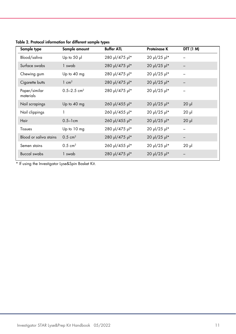| Sample type                | Sample amount               | <b>Buffer ATL</b> | <b>Proteinase K</b> | DTT (1 M)  |
|----------------------------|-----------------------------|-------------------|---------------------|------------|
| Blood/saliva               | Up to 50 $\mu$              | 280 µl/475 µl*    | 20 µl/25 µl*        |            |
| Surface swabs              | 1 swab                      | 280 µl/475 µl*    | 20 µl/25 µl*        |            |
| Chewing gum                | Up to 40 mg                 | 280 µl/475 µl*    | 20 µl/25 µl*        |            |
| Cigarette butts            | $1 \text{ cm}^2$            | 280 µl/475 µl*    | 20 µl/25 µl*        |            |
| Paper/similar<br>materials | $0.5 - 2.5$ cm <sup>2</sup> | 280 µl/475 µl*    | 20 µl/25 µl*        |            |
| Nail scrapings             | Up to $40$ mg               | 260 µl/455 µl*    | 20 µl/25 µl*        | $20$ $\mu$ |
| Nail clippings             |                             | 260 µl/455 µl*    | 20 µl/25 µl*        | $20$ $\mu$ |
| Hair                       | $0.5 - 1$ cm                | 260 µl/455 µl*    | 20 µl/25 µl*        | $20$ $\mu$ |
| Tissues                    | Up to 10 mg                 | 280 µl/475 µl*    | 20 µl/25 µl*        |            |
| Blood or saliva stains     | $0.5 \text{ cm}^2$          | 280 µl/475 µl*    | 20 µl/25 µl*        |            |
| Semen stains               | $0.5 \text{ cm}^2$          | 260 µl/455 µl*    | 20 µl/25 µl*        | $20$ $\mu$ |
| <b>Buccal swabs</b>        | 1 swab                      | 280 µl/475 µl*    | 20 µl/25 µl*        |            |

<span id="page-10-0"></span>Table 2. Protocol information for different sample types

<span id="page-10-1"></span>\* If using the Investigator Lyse&Spin Basket Kit.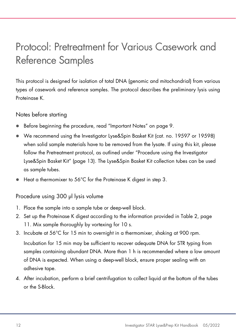# <span id="page-11-0"></span>Protocol: Pretreatment for Various Casework and Reference Samples

This protocol is designed for isolation of total DNA (genomic and mitochondrial) from various types of casework and reference samples. The protocol describes the preliminary lysis using Proteinase K.

Notes before starting

- Before beginning the procedure, read "Important Notes" on page [9.](#page-8-0)
- We recommend using the Investigator Lyse&Spin Basket Kit (cat. no. 19597 or 19598) when solid sample materials have to be removed from the lysate. If using this kit, please follow the Pretreatment protocol, as outlined under "Procedure using the Investigator Lyse&Spin Basket Kit" (page [13\)](#page-12-0). The Lyse&Spin Basket Kit collection tubes can be used as sample tubes.
- Heat a thermomixer to 56°C for the Proteinase K digest in step 3.

#### Procedure using 300 µl lysis volume

- 1. Place the sample into a sample tube or deep-well block.
- 2. Set up the Proteinase K digest according to the information provided in [Table 2,](#page-10-0) page [11.](#page-10-1) Mix sample thoroughly by vortexing for 10 s.
- 3. Incubate at 56°C for 15 min to overnight in a thermomixer, shaking at 900 rpm. Incubation for 15 min may be sufficient to recover adequate DNA for STR typing from samples containing abundant DNA. More than 1 h is recommended where a low amount of DNA is expected. When using a deep-well block, ensure proper sealing with an adhesive tape.
- 4. After incubation, perform a brief centrifugation to collect liquid at the bottom of the tubes or the S-Block.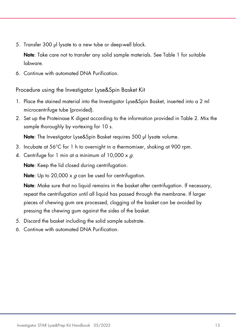5. Transfer 300 µl lysate to a new tube or deep-well block.

Note: Take care not to transfer any solid sample materials. See [Table 1](#page-7-1) for suitable labware.

<span id="page-12-0"></span>6. Continue with automated DNA Purification.

Procedure using the Investigator Lyse&Spin Basket Kit

- 1. Place the stained material into the Investigator Lyse&Spin Basket, inserted into a 2 ml microcentrifuge tube (provided).
- 2. Set up the Proteinase K digest according to the information provided in [Table 2.](#page-10-0) Mix the sample thoroughly by vortexing for 10 s.

Note: The Investigator Lyse&Spin Basket requires 500 ul lysate volume.

- 3. Incubate at 56°C for 1 h to overnight in a thermomixer, shaking at 900 rpm.
- 4. Centrifuge for 1 min at a minimum of  $10,000 \times a$ .

Note: Keep the lid closed during centrifugation.

**Note:** Up to 20,000  $\times$  a can be used for centrifugation.

Note: Make sure that no liquid remains in the basket after centrifugation. If necessary, repeat the centrifugation until all liquid has passed through the membrane. If larger pieces of chewing gum are processed, clogging of the basket can be avoided by pressing the chewing gum against the sides of the basket.

- 5. Discard the basket including the solid sample substrate.
- 6. Continue with automated DNA Purification.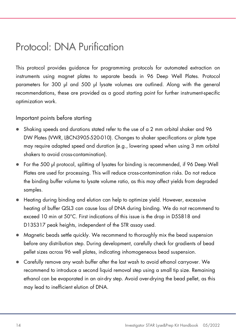### <span id="page-13-0"></span>Protocol: DNA Purification

This protocol provides guidance for programming protocols for automated extraction on instruments using magnet plates to separate beads in 96 Deep Well Plates. Protocol parameters for 300 µl and 500 µl lysate volumes are outlined. Along with the general recommendations, these are provided as a good starting point for further instrument-specific optimization work.

Important points before starting

- Shaking speeds and durations stated refer to the use of a 2 mm orbital shaker and 96 DW Plates (VWR, LBCN3905-520-010). Changes to shaker specifications or plate type may require adapted speed and duration (e.g., lowering speed when using 3 mm orbital shakers to avoid cross-contamination).
- For the 500 µl protocol, splitting of lysates for binding is recommended, if 96 Deep Well Plates are used for processing. This will reduce cross-contamination risks. Do not reduce the binding buffer volume to lysate volume ratio, as this may affect yields from degraded samples.
- Heating during binding and elution can help to optimize yield. However, excessive heating of buffer QSL3 can cause loss of DNA during binding. We do not recommend to exceed 10 min at 50°C. First indications of this issue is the drop in D5S818 and D13S317 peak heights, independent of the STR assay used.
- Magnetic beads settle quickly. We recommend to thoroughly mix the bead suspension before any distribution step. During development, carefully check for gradients of bead pellet sizes across 96 well plates, indicating inhomogeneous bead suspension.
- Carefully remove any wash buffer after the last wash to avoid ethanol carryover. We recommend to introduce a second liquid removal step using a small tip size. Remaining ethanol can be evaporated in an air-dry step. Avoid over-drying the bead pellet, as this may lead to inefficient elution of DNA.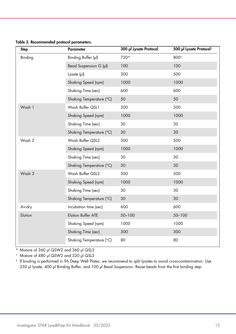Table 3. Recommended protocol parameters.

| <b>Step</b> | <b>Parameter</b>         | 300 µl Lysate Protocol | 500 µl Lysate Protocol <sup>‡</sup> |
|-------------|--------------------------|------------------------|-------------------------------------|
| Binding     | Binding Buffer (pl)      | 720*                   | 800 <sup>t</sup>                    |
|             | Bead Suspension G (µl)   | 100                    | 100                                 |
|             | Lysate $(\mu I)$         | 300                    | 500                                 |
|             | Shaking Speed (rpm)      | 1000                   | 1000                                |
|             | Shaking Time (sec)       | 600                    | 600                                 |
|             | Shaking Temperature (°C) | 50                     | 50                                  |
| Wash 1      | Wash Buffer QSL1         | 500                    | 500                                 |
|             | Shaking Speed (rpm)      | 1000                   | 1000                                |
|             | Shaking Time (sec)       | 30                     | 30                                  |
|             | Shaking Temperature (°C) | 30                     | 30                                  |
| Wash 2      | Wash Buffer QSL2         | 500                    | 500                                 |
|             | Shaking Speed (rpm)      | 1000                   | 1000                                |
|             | Shaking Time (sec)       | 30                     | 30                                  |
|             | Shaking Temperature (°C) | 30                     | 30                                  |
| Wash 3      | Wash Buffer QSL2         | 500                    | 500                                 |
|             | Shaking Speed (rpm)      | 1000                   | 1000                                |
|             | Shaking Time (sec)       | 30                     | 30                                  |
|             | Shaking Temperature (°C) | 30                     | 30                                  |
| Air-dry     | Incubation time (sec)    | 600                    | 600                                 |
| Elution     | Elution Buffer ATE       | 50-100                 | 50-100                              |
|             | Shaking Speed (rpm)      | 1000                   | 1000                                |
|             | Shaking Time (sec)       | 300                    | 300                                 |
|             | Shaking Temperature (°C) | 80                     | 80                                  |

\* Mixture of 360 µl QSW2 and 360 µl QSL3

† Mixture of 480 µl QSW2 and 320 µl QSL3

‡ If binding is performed in 96 Deep Well Plates, we recommend to split lysates to avoid cross-contamination. Use 250 µl lysate, 400 µl Binding Buffer, and 100 µl Bead Suspension. Reuse beads from the first binding step.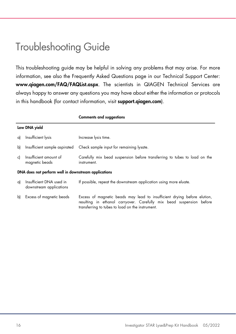### <span id="page-15-0"></span>Troubleshooting Guide

This troubleshooting guide may be helpful in solving any problems that may arise. For more information, see also the Frequently Asked Questions page in our Technical Support Center: www.qiagen.com/FAQ/FAQList.aspx. The scientists in QIAGEN Technical Services are always happy to answer any questions you may have about either the information or protocols in this handbook (for contact information, visit **support.aiagen.com**).

|    |                                                      | <b>Comments and suggestions</b>                                                                                                                                                                      |  |  |  |
|----|------------------------------------------------------|------------------------------------------------------------------------------------------------------------------------------------------------------------------------------------------------------|--|--|--|
|    | Low DNA yield                                        |                                                                                                                                                                                                      |  |  |  |
| a) | Insufficient lysis                                   | Increase lysis time.                                                                                                                                                                                 |  |  |  |
| b) | Insufficient sample aspirated                        | Check sample input for remaining lysate.                                                                                                                                                             |  |  |  |
| c) | Insufficient amount of<br>magnetic beads             | Carefully mix bead suspension before transferring to tubes to load on the<br>instrument.                                                                                                             |  |  |  |
|    | DNA does not perform well in downstream applications |                                                                                                                                                                                                      |  |  |  |
| a) | Insufficient DNA used in<br>downstream applications  | If possible, repeat the downstream application using more eluate.                                                                                                                                    |  |  |  |
|    | b) Excess of magnetic beads                          | Excess of magnetic beads may lead to insufficient drying before elution,<br>resulting in ethanol carryover. Carefully mix bead suspension before<br>transferring to tubes to load on the instrument. |  |  |  |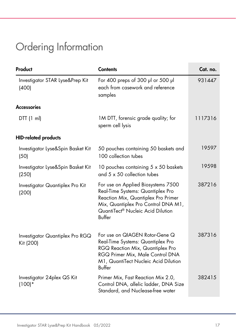# <span id="page-16-0"></span>Ordering Information

| Product                                      | <b>Contents</b>                                                                                                                                                                                      | Cat. no. |
|----------------------------------------------|------------------------------------------------------------------------------------------------------------------------------------------------------------------------------------------------------|----------|
| Investigator STAR Lyse&Prep Kit<br>(400)     | For 400 preps of 300 $\mu$ l or 500 $\mu$ l<br>each from casework and reference<br>samples                                                                                                           | 931447   |
| <b>Accessories</b>                           |                                                                                                                                                                                                      |          |
| DTT(1 ml)                                    | 1M DTT, forensic grade quality; for<br>sperm cell lysis                                                                                                                                              | 1117316  |
| <b>HID-related products</b>                  |                                                                                                                                                                                                      |          |
| Investigator Lyse&Spin Basket Kit<br>(50)    | 50 pouches containing 50 baskets and<br>100 collection tubes                                                                                                                                         | 19597    |
| Investigator Lyse&Spin Basket Kit<br>(250)   | 10 pouches containing 5 x 50 baskets<br>and $5 \times 50$ collection tubes                                                                                                                           | 19598    |
| Investigator Quantiplex Pro Kit<br>(200)     | For use on Applied Biosystems 7500<br>Real-Time Systems: Quantiplex Pro<br>Reaction Mix, Quantiplex Pro Primer<br>Mix, Quantiplex Pro Control DNA M1,<br>QuantiTect® Nucleic Acid Dilution<br>Buffer | 387216   |
| Investigator Quantiplex Pro RGQ<br>Kit (200) | For use on QIAGEN Rotor-Gene Q<br>Real-Time Systems: Quantiplex Pro<br>RGQ Reaction Mix, Quantiplex Pro<br>RGQ Primer Mix, Male Control DNA<br>M1, QuantiTect Nucleic Acid Dilution<br>Buffer        | 387316   |
| Investigator 24plex QS Kit<br>$(100)*$       | Primer Mix, Fast Reaction Mix 2.0,<br>Control DNA, allelic ladder, DNA Size<br>Standard, and Nuclease-free water                                                                                     | 382415   |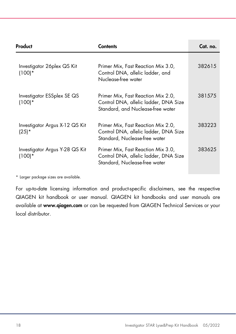| Product                                   | Contents                                                                                                         | Cat. no. |
|-------------------------------------------|------------------------------------------------------------------------------------------------------------------|----------|
| Investigator 26plex QS Kit<br>$(100)*$    | Primer Mix, Fast Reaction Mix 3.0,<br>Control DNA, allelic ladder, and<br>Nuclease-free water                    | 382615   |
| Investigator ESSplex SE QS<br>$(100)*$    | Primer Mix, Fast Reaction Mix 2.0,<br>Control DNA, allelic ladder, DNA Size<br>Standard, and Nuclease-free water | 381575   |
| Investigator Argus X-12 QS Kit<br>$(25)*$ | Primer Mix, Fast Reaction Mix 2.0,<br>Control DNA, allelic ladder, DNA Size<br>Standard, Nuclease-free water     | 383223   |
| Investigator Argus Y-28 QS Kit<br>(100)*  | Primer Mix, Fast Reaction Mix 3.0,<br>Control DNA, allelic ladder, DNA Size<br>Standard, Nuclease-free water     | 383625   |

\* Larger package sizes are available.

For up-to-date licensing information and product-specific disclaimers, see the respective QIAGEN kit handbook or user manual. QIAGEN kit handbooks and user manuals are available at www.qiagen.com or can be requested from QIAGEN Technical Services or your local distributor.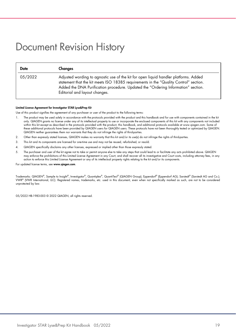### <span id="page-18-0"></span>Document Revision History

| <b>Date</b> | Changes                                                                                                                                                                                                                                                                                             |
|-------------|-----------------------------------------------------------------------------------------------------------------------------------------------------------------------------------------------------------------------------------------------------------------------------------------------------|
| 05/2022     | Adjusted wording to agnostic use of the kit for open liquid handler platforms. Added<br>statement that the kit meets ISO 18385 requirements in the "Quality Control" section.<br>Added the DNA Purification procedure. Updated the "Ordering Information" section.<br>Editorial and layout changes. |

#### Limited License Agreement for Investigator STAR Lyse&Prep Kit

Use of this product signifies the agreement of any purchaser or user of the product to the following terms:

- 1. The product may be used solely in accordance with the protocols provided with the product and this handbook and for use with components contained in the kit only. QIAGEN grants no license under any of its intellectual property to use or incorporate the enclosed components of this kit with any components not included within this kit except as described in the protocols provided with the product, this handbook, and additional protocols available at www.qiagen.com. Some of these additional protocols have been provided by QIAGEN users for QIAGEN users. These protocols have not been thoroughly tested or optimized by QIAGEN. QIAGEN neither guarantees them nor warrants that they do not infringe the rights of third-parties.
- 2. Other than expressly stated licenses, QIAGEN makes no warranty that this kit and/or its use(s) do not infringe the rights of third-parties.
- 3. This kit and its components are licensed for one-time use and may not be reused, refurbished, or resold.
- 4. QIAGEN specifically disclaims any other licenses, expressed or implied other than those expressly stated.
- 5. The purchaser and user of the kit agree not to take or permit anyone else to take any steps that could lead to or facilitate any acts prohibited above. QIAGEN may enforce the prohibitions of this Limited License Agreement in any Court, and shall recover all its investigative and Court costs, including attorney fees, in any action to enforce this Limited License Agreement or any of its intellectual property rights relating to the kit and/or its components.

For updated license terms, see www.qiagen.com.

Trademarks: QIAGEN®, Sample to Insight®, Investigator®, Quantiplex®, QuantiTect® (QIAGEN Group); Eppendorf® (Eppendorf AG); Sarstedt® (Sarstedt AG and Co.); VWR® (VWR International, LLC). Registered names, trademarks, etc. used in this document, even when not specifically marked as such, are not to be considered unprotected by law.

05/2022 HB-1983-003 © 2022 QIAGEN, all rights reserved.